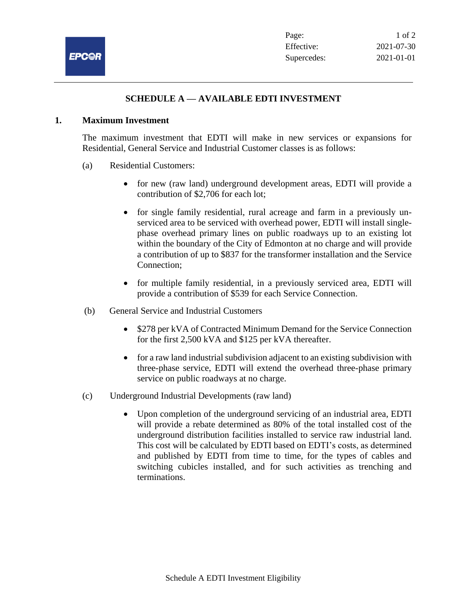

## **SCHEDULE A — AVAILABLE EDTI INVESTMENT**

## **1. Maximum Investment**

The maximum investment that EDTI will make in new services or expansions for Residential, General Service and Industrial Customer classes is as follows:

- (a) Residential Customers:
	- for new (raw land) underground development areas, EDTI will provide a contribution of \$2,706 for each lot;
	- for single family residential, rural acreage and farm in a previously unserviced area to be serviced with overhead power, EDTI will install singlephase overhead primary lines on public roadways up to an existing lot within the boundary of the City of Edmonton at no charge and will provide a contribution of up to \$837 for the transformer installation and the Service Connection;
	- for multiple family residential, in a previously serviced area, EDTI will provide a contribution of \$539 for each Service Connection.
- (b) General Service and Industrial Customers
	- \$278 per kVA of Contracted Minimum Demand for the Service Connection for the first 2,500 kVA and \$125 per kVA thereafter.
	- for a raw land industrial subdivision adjacent to an existing subdivision with three-phase service, EDTI will extend the overhead three-phase primary service on public roadways at no charge.
- (c) Underground Industrial Developments (raw land)
	- Upon completion of the underground servicing of an industrial area, EDTI will provide a rebate determined as 80% of the total installed cost of the underground distribution facilities installed to service raw industrial land. This cost will be calculated by EDTI based on EDTI's costs, as determined and published by EDTI from time to time, for the types of cables and switching cubicles installed, and for such activities as trenching and terminations.